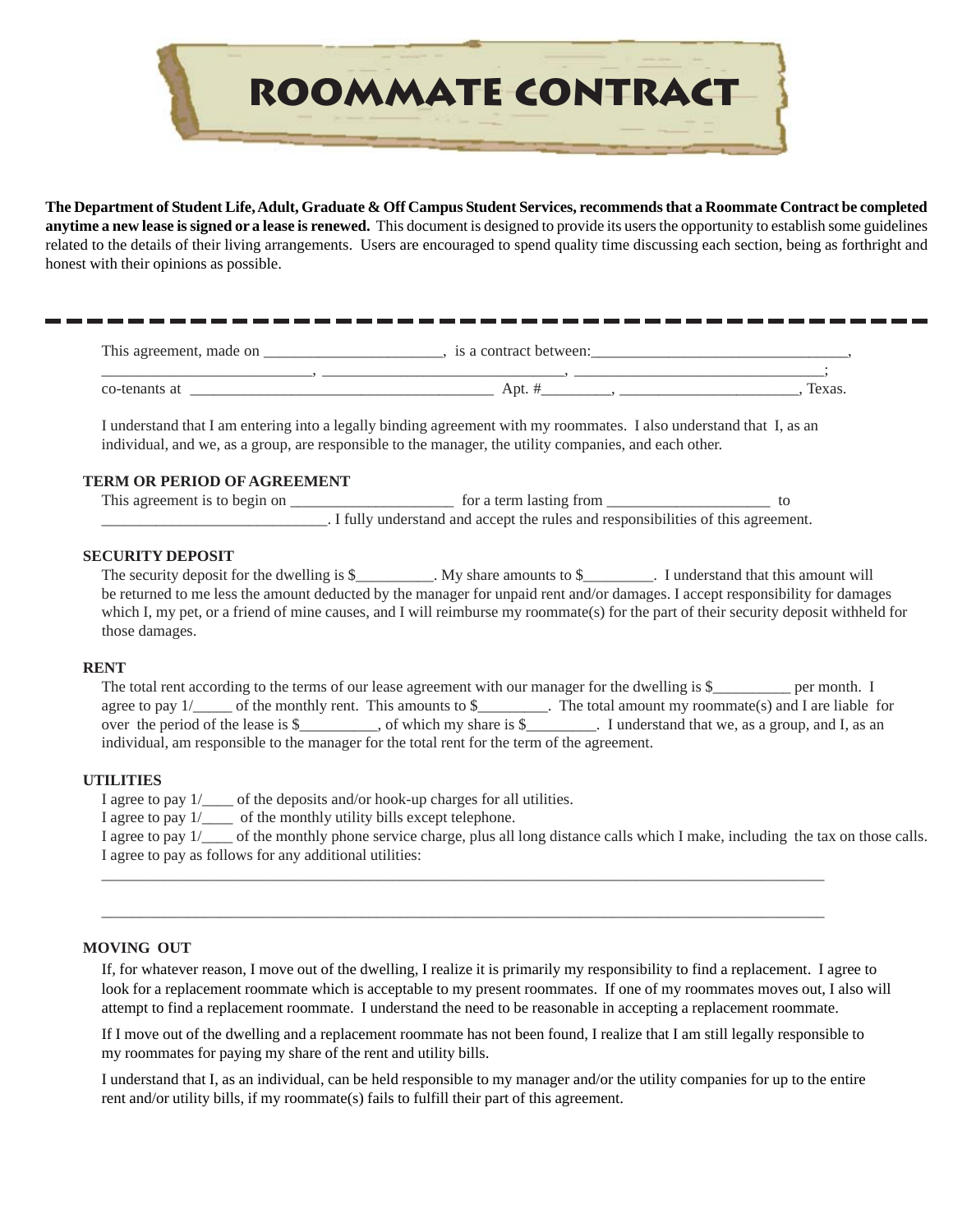

**The Department of Student Life, Adult, Graduate & Off Campus Student Services, recommends that a Roommate Contract be completed anytime a new lease is signed or a lease is renewed.** This document is designed to provide its users the opportunity to establish some guidelines related to the details of their living arrangements. Users are encouraged to spend quality time discussing each section, being as forthright and honest with their opinions as possible.

| This agreement, made on | is a contract between:           |     |  |
|-------------------------|----------------------------------|-----|--|
|                         |                                  |     |  |
| co-tena                 | $A$ pt. $\overline{\phantom{a}}$ | exa |  |

I understand that I am entering into a legally binding agreement with my roommates. I also understand that I, as an individual, and we, as a group, are responsible to the manager, the utility companies, and each other.

## **TERM OR PERIOD OF AGREEMENT**

This agreement is to begin on \_\_\_\_\_\_\_\_\_\_\_\_\_\_\_\_\_\_\_\_\_ for a term lasting from \_\_\_\_\_\_\_\_\_\_\_\_\_\_\_\_\_\_\_\_\_ to \_\_\_\_\_\_\_\_\_\_\_\_\_\_\_\_\_\_\_\_\_\_\_\_\_\_\_\_\_. I fully understand and accept the rules and responsibilities of this agreement.

# **SECURITY DEPOSIT**

The security deposit for the dwelling is \$\_\_\_\_\_\_\_\_. My share amounts to \$\_\_\_\_\_\_\_\_. I understand that this amount will be returned to me less the amount deducted by the manager for unpaid rent and/or damages. I accept responsibility for damages which I, my pet, or a friend of mine causes, and I will reimburse my roommate(s) for the part of their security deposit withheld for those damages.

### **RENT**

| The total rent according to the terms of our lease agreement with our manager for the dwelling is \$_ |                         |                                                      | per month. I |
|-------------------------------------------------------------------------------------------------------|-------------------------|------------------------------------------------------|--------------|
| of the monthly rent. This amounts to \$<br>agree to pay $1/$                                          |                         | The total amount my roommate(s) and I are liable for |              |
| over the period of the lease is $\S$                                                                  | of which my share is \$ | . I understand that we, as a group, and I, as an     |              |
| individual, am responsible to the manager for the total rent for the term of the agreement.           |                         |                                                      |              |

### **UTILITIES**

I agree to pay 1/\_\_\_\_ of the deposits and/or hook-up charges for all utilities.

I agree to pay 1/\_\_\_\_ of the monthly utility bills except telephone.

I agree to pay 1/\_\_\_\_ of the monthly phone service charge, plus all long distance calls which I make, including the tax on those calls. I agree to pay as follows for any additional utilities:

#### **MOVING OUT**

If, for whatever reason, I move out of the dwelling, I realize it is primarily my responsibility to find a replacement. I agree to look for a replacement roommate which is acceptable to my present roommates. If one of my roommates moves out, I also will attempt to find a replacement roommate. I understand the need to be reasonable in accepting a replacement roommate.

If I move out of the dwelling and a replacement roommate has not been found, I realize that I am still legally responsible to my roommates for paying my share of the rent and utility bills.

\_\_\_\_\_\_\_\_\_\_\_\_\_\_\_\_\_\_\_\_\_\_\_\_\_\_\_\_\_\_\_\_\_\_\_\_\_\_\_\_\_\_\_\_\_\_\_\_\_\_\_\_\_\_\_\_\_\_\_\_\_\_\_\_\_\_\_\_\_\_\_\_\_\_\_\_\_\_\_\_\_\_\_\_\_\_\_\_\_\_\_\_

\_\_\_\_\_\_\_\_\_\_\_\_\_\_\_\_\_\_\_\_\_\_\_\_\_\_\_\_\_\_\_\_\_\_\_\_\_\_\_\_\_\_\_\_\_\_\_\_\_\_\_\_\_\_\_\_\_\_\_\_\_\_\_\_\_\_\_\_\_\_\_\_\_\_\_\_\_\_\_\_\_\_\_\_\_\_\_\_\_\_\_\_

I understand that I, as an individual, can be held responsible to my manager and/or the utility companies for up to the entire rent and/or utility bills, if my roommate(s) fails to fulfill their part of this agreement.